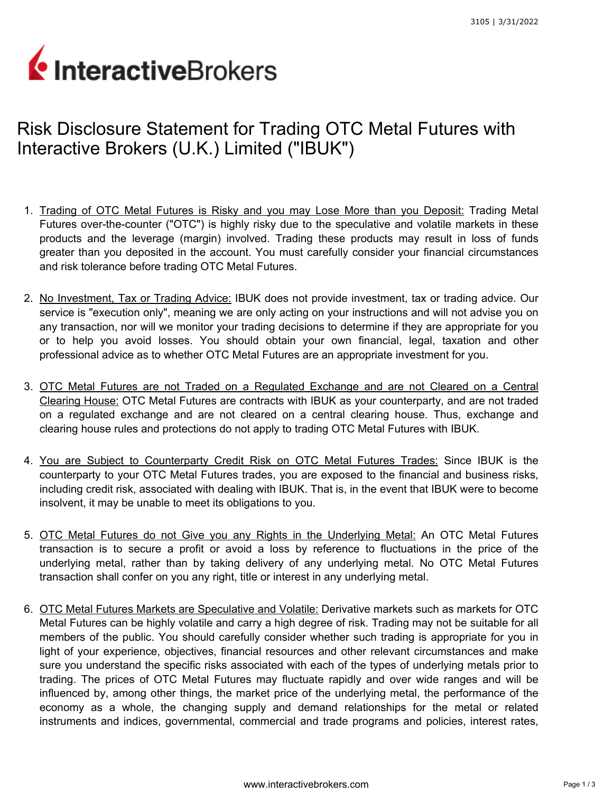## InteractiveBrokers

## Risk Disclosure Statement for Trading OTC Metal Futures with Interactive Brokers (U.K.) Limited ("IBUK")

- 1. Trading of OTC Metal Futures is Risky and you may Lose More than you Deposit: Trading Metal Futures over-the-counter ("OTC") is highly risky due to the speculative and volatile markets in these products and the leverage (margin) involved. Trading these products may result in loss of funds greater than you deposited in the account. You must carefully consider your financial circumstances and risk tolerance before trading OTC Metal Futures.
- 2. No Investment, Tax or Trading Advice: IBUK does not provide investment, tax or trading advice. Our service is "execution only", meaning we are only acting on your instructions and will not advise you on any transaction, nor will we monitor your trading decisions to determine if they are appropriate for you or to help you avoid losses. You should obtain your own financial, legal, taxation and other professional advice as to whether OTC Metal Futures are an appropriate investment for you.
- 3. OTC Metal Futures are not Traded on a Regulated Exchange and are not Cleared on a Central Clearing House: OTC Metal Futures are contracts with IBUK as your counterparty, and are not traded on a regulated exchange and are not cleared on a central clearing house. Thus, exchange and clearing house rules and protections do not apply to trading OTC Metal Futures with IBUK.
- 4. You are Subject to Counterparty Credit Risk on OTC Metal Futures Trades: Since IBUK is the counterparty to your OTC Metal Futures trades, you are exposed to the financial and business risks, including credit risk, associated with dealing with IBUK. That is, in the event that IBUK were to become insolvent, it may be unable to meet its obligations to you.
- 5. OTC Metal Futures do not Give you any Rights in the Underlying Metal: An OTC Metal Futures transaction is to secure a profit or avoid a loss by reference to fluctuations in the price of the underlying metal, rather than by taking delivery of any underlying metal. No OTC Metal Futures transaction shall confer on you any right, title or interest in any underlying metal.
- 6. OTC Metal Futures Markets are Speculative and Volatile: Derivative markets such as markets for OTC Metal Futures can be highly volatile and carry a high degree of risk. Trading may not be suitable for all members of the public. You should carefully consider whether such trading is appropriate for you in light of your experience, objectives, financial resources and other relevant circumstances and make sure you understand the specific risks associated with each of the types of underlying metals prior to trading. The prices of OTC Metal Futures may fluctuate rapidly and over wide ranges and will be influenced by, among other things, the market price of the underlying metal, the performance of the economy as a whole, the changing supply and demand relationships for the metal or related instruments and indices, governmental, commercial and trade programs and policies, interest rates,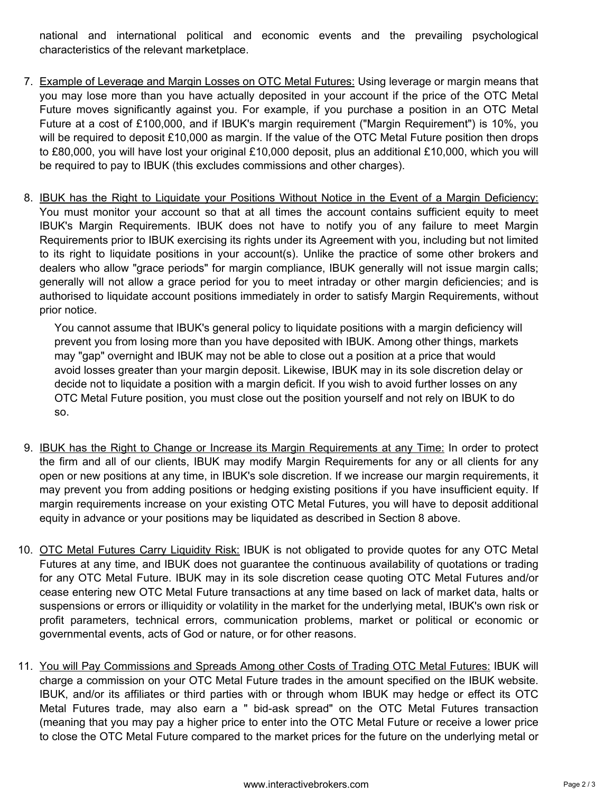national and international political and economic events and the prevailing psychological characteristics of the relevant marketplace.

- 7. Example of Leverage and Margin Losses on OTC Metal Futures: Using leverage or margin means that you may lose more than you have actually deposited in your account if the price of the OTC Metal Future moves significantly against you. For example, if you purchase a position in an OTC Metal Future at a cost of £100,000, and if IBUK's margin requirement ("Margin Requirement") is 10%, you will be required to deposit £10,000 as margin. If the value of the OTC Metal Future position then drops to £80,000, you will have lost your original £10,000 deposit, plus an additional £10,000, which you will be required to pay to IBUK (this excludes commissions and other charges).
- 8. **IBUK has the Right to Liquidate your Positions Without Notice in the Event of a Margin Deficiency:** You must monitor your account so that at all times the account contains sufficient equity to meet IBUK's Margin Requirements. IBUK does not have to notify you of any failure to meet Margin Requirements prior to IBUK exercising its rights under its Agreement with you, including but not limited to its right to liquidate positions in your account(s). Unlike the practice of some other brokers and dealers who allow "grace periods" for margin compliance, IBUK generally will not issue margin calls; generally will not allow a grace period for you to meet intraday or other margin deficiencies; and is authorised to liquidate account positions immediately in order to satisfy Margin Requirements, without prior notice.

You cannot assume that IBUK's general policy to liquidate positions with a margin deficiency will prevent you from losing more than you have deposited with IBUK. Among other things, markets may "gap" overnight and IBUK may not be able to close out a position at a price that would avoid losses greater than your margin deposit. Likewise, IBUK may in its sole discretion delay or decide not to liquidate a position with a margin deficit. If you wish to avoid further losses on any OTC Metal Future position, you must close out the position yourself and not rely on IBUK to do so.

- 9. IBUK has the Right to Change or Increase its Margin Requirements at any Time: In order to protect the firm and all of our clients, IBUK may modify Margin Requirements for any or all clients for any open or new positions at any time, in IBUK's sole discretion. If we increase our margin requirements, it may prevent you from adding positions or hedging existing positions if you have insufficient equity. If margin requirements increase on your existing OTC Metal Futures, you will have to deposit additional equity in advance or your positions may be liquidated as described in Section 8 above.
- 10. OTC Metal Futures Carry Liquidity Risk: IBUK is not obligated to provide quotes for any OTC Metal Futures at any time, and IBUK does not guarantee the continuous availability of quotations or trading for any OTC Metal Future. IBUK may in its sole discretion cease quoting OTC Metal Futures and/or cease entering new OTC Metal Future transactions at any time based on lack of market data, halts or suspensions or errors or illiquidity or volatility in the market for the underlying metal, IBUK's own risk or profit parameters, technical errors, communication problems, market or political or economic or governmental events, acts of God or nature, or for other reasons.
- 11. You will Pay Commissions and Spreads Among other Costs of Trading OTC Metal Futures: IBUK will charge a commission on your OTC Metal Future trades in the amount specified on the IBUK website. IBUK, and/or its affiliates or third parties with or through whom IBUK may hedge or effect its OTC Metal Futures trade, may also earn a " bid-ask spread" on the OTC Metal Futures transaction (meaning that you may pay a higher price to enter into the OTC Metal Future or receive a lower price to close the OTC Metal Future compared to the market prices for the future on the underlying metal or